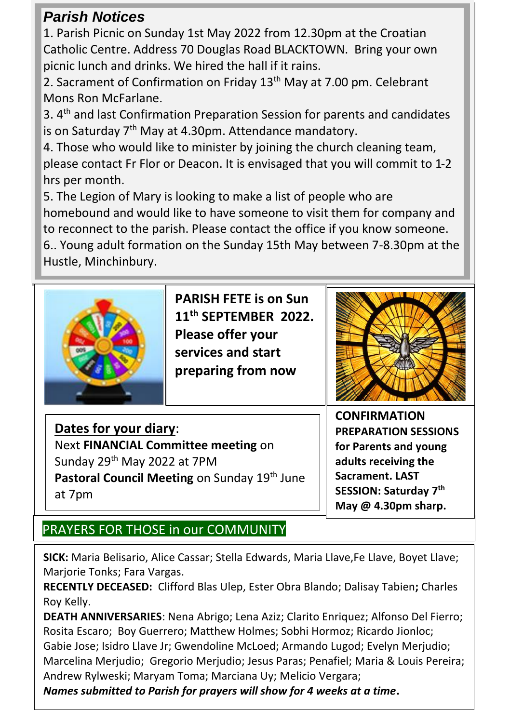## *Parish Notices*

1. Parish Picnic on Sunday 1st May 2022 from 12.30pm at the Croatian Catholic Centre. Address 70 Douglas Road BLACKTOWN. Bring your own picnic lunch and drinks. We hired the hall if it rains.

2. Sacrament of Confirmation on Friday 13<sup>th</sup> May at 7.00 pm. Celebrant Mons Ron McFarlane.

3. 4 th and last Confirmation Preparation Session for parents and candidates is on Saturday 7<sup>th</sup> May at 4.30pm. Attendance mandatory.

4. Those who would like to minister by joining the church cleaning team, please contact Fr Flor or Deacon. It is envisaged that you will commit to 1-2 hrs per month.

5. The Legion of Mary is looking to make a list of people who are homebound and would like to have someone to visit them for company and to reconnect to the parish. Please contact the office if you know someone.

6.. Young adult formation on the Sunday 15th May between 7-8.30pm at the Hustle, Minchinbury.



**PARISH FETE is on Sun 11th SEPTEMBER 2022. Please offer your services and start preparing from now** 



**Dates for your diary**: Next **FINANCIAL Committee meeting** on Sunday 29<sup>th</sup> May 2022 at 7PM Pastoral Council Meeting on Sunday 19<sup>th</sup> June at 7pm

**CONFIRMATION PREPARATION SESSIONS for Parents and young adults receiving the Sacrament. LAST SESSION: Saturday 7 th May @ 4.30pm sharp.**

# PRAYERS FOR THOSE in our COMMUNITY

**SICK:** Maria Belisario, Alice Cassar; Stella Edwards, Maria Llave,Fe Llave, Boyet Llave; Marjorie Tonks; Fara Vargas.

**RECENTLY DECEASED:** Clifford Blas Ulep, Ester Obra Blando; Dalisay Tabien**;** Charles Roy Kelly.

**DEATH ANNIVERSARIES**: Nena Abrigo; Lena Aziz; Clarito Enriquez; Alfonso Del Fierro; Rosita Escaro; Boy Guerrero; Matthew Holmes; Sobhi Hormoz; Ricardo Jionloc; Gabie Jose; Isidro Llave Jr; Gwendoline McLoed; Armando Lugod; Evelyn Merjudio; Marcelina Merjudio; Gregorio Merjudio; Jesus Paras; Penafiel; Maria & Louis Pereira; Andrew Rylweski; Maryam Toma; Marciana Uy; Melicio Vergara;

*Names submitted to Parish for prayers will show for 4 weeks at a time***.**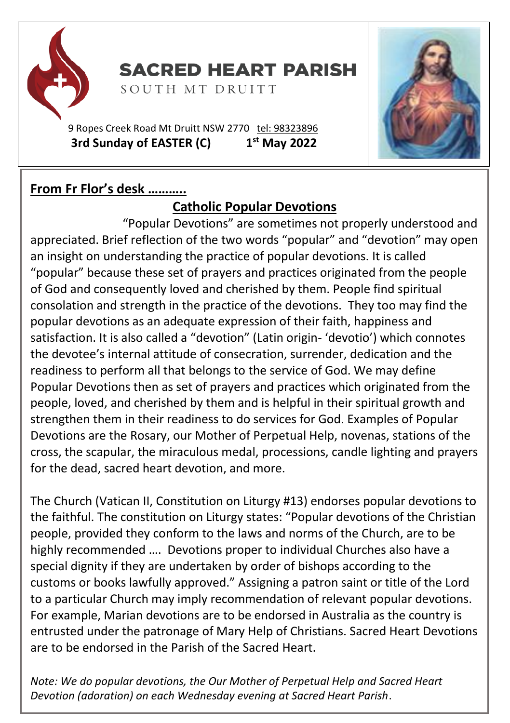

**SACRED HEART PARISH** 

SOUTH MT DRUITT

9 Ropes Creek Road Mt Druitt NSW 2770 tel: [98323896](tel:98323896) **3rd Sunday of EASTER (C) 1 st May 2022**

## **From Fr Flor's desk ………..**

## **Catholic Popular Devotions**

 "Popular Devotions" are sometimes not properly understood and appreciated. Brief reflection of the two words "popular" and "devotion" may open an insight on understanding the practice of popular devotions. It is called "popular" because these set of prayers and practices originated from the people of God and consequently loved and cherished by them. People find spiritual consolation and strength in the practice of the devotions. They too may find the popular devotions as an adequate expression of their faith, happiness and satisfaction. It is also called a "devotion" (Latin origin- 'devotio') which connotes the devotee's internal attitude of consecration, surrender, dedication and the readiness to perform all that belongs to the service of God. We may define Popular Devotions then as set of prayers and practices which originated from the people, loved, and cherished by them and is helpful in their spiritual growth and strengthen them in their readiness to do services for God. Examples of Popular Devotions are the Rosary, our Mother of Perpetual Help, novenas, stations of the cross, the scapular, the miraculous medal, processions, candle lighting and prayers for the dead, sacred heart devotion, and more.

The Church (Vatican II, Constitution on Liturgy #13) endorses popular devotions to the faithful. The constitution on Liturgy states: "Popular devotions of the Christian people, provided they conform to the laws and norms of the Church, are to be highly recommended …. Devotions proper to individual Churches also have a special dignity if they are undertaken by order of bishops according to the customs or books lawfully approved." Assigning a patron saint or title of the Lord to a particular Church may imply recommendation of relevant popular devotions. For example, Marian devotions are to be endorsed in Australia as the country is entrusted under the patronage of Mary Help of Christians. Sacred Heart Devotions are to be endorsed in the Parish of the Sacred Heart.

*Note: We do popular devotions, the Our Mother of Perpetual Help and Sacred Heart Devotion (adoration) on each Wednesday evening at Sacred Heart Parish*.

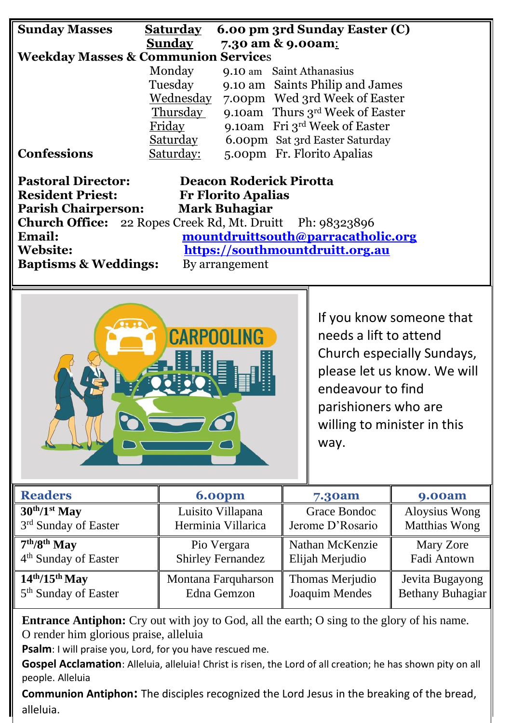| <b>Sunday Masses</b>                                             | <b>Saturday</b>                 | 6.00 pm 3rd Sunday Easter (C)   |  |  |
|------------------------------------------------------------------|---------------------------------|---------------------------------|--|--|
|                                                                  | <b>Sunday</b>                   | 7.30 am & 9.00am:               |  |  |
| <b>Weekday Masses &amp; Communion Services</b>                   |                                 |                                 |  |  |
|                                                                  | Monday                          | 9.10 am Saint Athanasius        |  |  |
|                                                                  | Tuesday                         | 9.10 am Saints Philip and James |  |  |
|                                                                  | Wednesday                       | 7.00pm Wed 3rd Week of Easter   |  |  |
|                                                                  | Thursday                        | 9.10am Thurs 3rd Week of Easter |  |  |
|                                                                  | Friday                          | 9.10am Fri 3rd Week of Easter   |  |  |
|                                                                  | Saturday                        | 6.00pm Sat 3rd Easter Saturday  |  |  |
| <b>Confessions</b>                                               | Saturday:                       | 5.00pm Fr. Florito Apalias      |  |  |
|                                                                  |                                 |                                 |  |  |
| <b>Pastoral Director:</b><br>Deacon Roderick Pirotta             |                                 |                                 |  |  |
| <b>Resident Priest:</b><br><b>Fr Florito Apalias</b>             |                                 |                                 |  |  |
| <b>Mark Buhagiar</b><br><b>Parish Chairperson:</b>               |                                 |                                 |  |  |
| <b>Church Office:</b> 22 Ropes Creek Rd, Mt. Druitt Ph: 98323896 |                                 |                                 |  |  |
| Email:<br>mountdruittsouth@parracatholic.org                     |                                 |                                 |  |  |
| <b>Website:</b>                                                  | https://southmountdruitt.org.au |                                 |  |  |
| <b>Baptisms &amp; Weddings:</b>                                  |                                 | By arrangement                  |  |  |
|                                                                  |                                 |                                 |  |  |



If you know someone that needs a lift to attend Church especially Sundays, please let us know. We will endeavour to find parishioners who are willing to minister in this way.

| <b>Readers</b>                   | <b>6.00pm</b>       | 7.30am           | <b>9.00am</b>    |
|----------------------------------|---------------------|------------------|------------------|
| $30^{th}/1^{st}$ May             | Luisito Villapana   | Grace Bondoc     | Aloysius Wong    |
| 3rd Sunday of Easter             | Herminia Villarica  | Jerome D'Rosario | Matthias Wong    |
| $7th/8th$ May                    | Pio Vergara         | Nathan McKenzie  | Mary Zore        |
| 4 <sup>th</sup> Sunday of Easter | Shirley Fernandez   | Elijah Merjudio  | Fadi Antown      |
| $14th/15th$ May                  | Montana Farquharson | Thomas Merjudio  | Jevita Bugayong  |
| 5 <sup>th</sup> Sunday of Easter | Edna Gemzon         | Joaquim Mendes   | Bethany Buhagiar |

**Entrance Antiphon:** Cry out with joy to God, all the earth; O sing to the glory of his name. O render him glorious praise, alleluia

**Psalm**: I will praise you, Lord, for you have rescued me.

Gospel Acclamation: Alleluia, alleluia! Christ is risen, the Lord of all creation; he has shown pity on all people. Alleluia

**Communion Antiphon:** The disciples recognized the Lord Jesus in the breaking of the bread, alleluia.